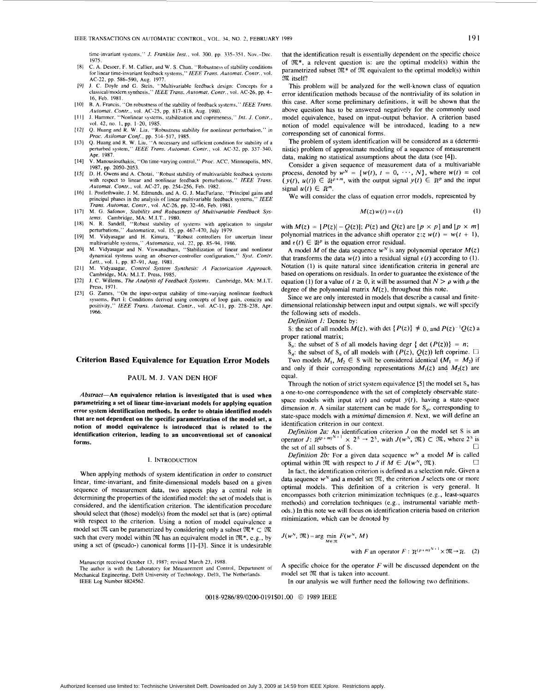time-invariant systems," *J. Franklin Inst.*, vol. 300, pp. 335-351, Nov.-Dec. 1975.

- C. **A.** Desoer, **F.** M. Callier, and **W. S.** Chan, "Robustness of stability conditions  $[8]$ for linear time-invariant feedback systems," *IEEE Trans. Automat. Contr.,* vol.
- AC-22, pp. 586-590, Aug. 1977. J. *C.* Doyle and **G.** Stein, "Multivariable feedback design: Concepts for a classical/modem synthesis." *IEEE Trans. Automat. Contr.,* vol. AC-26, pp. 4-  $[9]$ 16, Feb. 1981.
- B. A. Francis, "On robustness ofthe stability of feedback systems," *IEEE Trans. Automat. Contr.,* vol. AC-25, pp. 817-818, **Aug.** 1980.
- J. Hammer. "Nonlinear gystems, stabilization and coprimeness." *Inl. J. Contr.,*  vol. 42, no. I. pp. **1-20,** 1985. *Q.* Huang and R. **W.** Liu, "Robustness stability for nonlinear perturbation," in
- *Proc. Asilomar Con/.,* pp. 514-517, 1985. Q. Huang and R. **W.** Liu, **"A** necessary and sufficient condition for stability of a
- perturbed system," *IEEE Trans. Automat. Contr.,* vol. AC-32, pp. 337-340, Apr. 1987.
- $[14]$ V. Manousiouthakis, "On time-varying control," *Proc.* ACC, Minneapolis, MN, 1987, **pp.** 2050-2053.
- [15] D. H. Owens and A. Chotai, "Robust stability of multivariable feedback systems with respect to linear and nonlinear feedback perturbations," IEEE Trans. *Automat. Contr.,* vol. AC-27, pp. 254-256. Feb. 1982.
- I. Postlethwaite, J. M. Edmunds. and **A.** G. **J.** MacFarlane, "Principal gains and principal phases in the analysis of linear multivariable feedback systems," *IEEE Trans. Automat. Contr.,* vol. AC-26, pp. 3246. Feb. 1981.
- $[17]$ M. G. Safonov. *Stability and Robustness of Multivariable Feedback Sys-*
- *tems.* Cambridge, MA: M.I.T., 1980. N. R. Sandell, "Robust stability of systems with application to singular 1181
- perturbations," Automatica, vol. 15, pp. 467–470, July 1979.<br>M. Vidyasagar and H. Kimura, "Robust controllers for uncertain linear<br>multivariable systems," Automatica, vol. 22, pp. 85–94, 1986.<br>M. Vidyasagar and N. Viswanad  $[19]$
- 1201 dynamical systems using an observer-controller configuration," *Syst. Contr. Lett.,* vol. I. pp. 87-91. Aug. 1981.
- $[21]$ M. Vidyasagar, *Control System Synthesis: A Factorization Approach.*  Cambridge, MA: M.I.T. Press, 1985.
- **J.** C. Willems, *The Analysis of Feedback Systems.* Cambridge, MA: M.I.T. Press, 1971.<br>G. Zames,
- "On the input-output stability of time-varying nonlinear feedback  $[23]$ systems, Part I: Conditions derived using concepts of loop gain, conicity and positivity," *IEEE Trans. Automat. Contr.,* vol. AC-I **I,** pp. 228-238, Apr. 1966.

## **Criterion Based Equivalence for Equation Error Models**

## **PAUL** M. J. **VAN** DEN **HOF**

*Abstract-An* equivalence relation is investigated that is used when parametrizing a set of linear time-invariant models for applying equation error system identification methods. **In** order **to** obtain identified models that are not dependent **on** the specific parametrization of the model set, a notion of model equivalence is introduced that is related to the identification criterion, leading to an unconventional set **of** canonical forms.

### **I.** INTRODUCTION

When applying methods of system identification in order to construct linear, time-invariant, and finite-dimensional models based on a given sequence of measurement data, two aspects play a central role in determining the properties of the identified model: the set of models that is considered, and the identification criterion. The identification procedure should select that (those) model(s) from the model set that is (are) optimal with respect to the criterion. Using a notion of model equivalence a model set  $\mathfrak{M}$  can be parametrized by considering only a subset  $\mathfrak{M}^* \subset \mathfrak{M}$ such that every model within 312 has an equivalent model in *312\*.* e.g., by using a set of (pseudo-) canonical forms [1]-[3]. Since it is undesirable

Manuscript received October 13, 1987; revised March 23, 1988.

The author is with the Laboratory **for** Measurement and Control, Department of IEEE Log Number 8824562. Mechanical Engineering, Delft University of Technology, Delft, The Netherlands.

that the identification result is essentially dependent on the specific choice of *X\*,* a relevent question is: are the optimal model(s) within the parametrized subset *312\** of *312* equivalent to the optimal model(s) within 317. itself!

This problem will be analyzed for the well-known class of equation error identification methods because of the nontriviality of its solution in this case. After some preliminary definitions, it will be shown that the above question has to be answered negatively for the commonly used model equivalence, based on input-output behavior. **A** criterion based notion of model equivalence will be introduced, leading to a new corresponding set of canonical forms.

The problem of system identification will be considered as a (deterministic) problem of approximate modeling of a sequence of measurement data, making no statistical assumptions about the data (see [4]).

Consider a given sequence of measurement data of a multivariable process, denoted by  $w^N = \{w(t), t = 0, \dots, N\}$ , where  $w(t) = \text{col}$  $(y(t), u(t)) \in \mathbb{R}^{p+m}$ , with the output signal  $y(t) \in \mathbb{R}^p$  and the input signal  $u(t) \in \mathbb{R}^m$ .

We will consider the class of equation error models, represented by

$$
M(z) w(t) = \epsilon(t) \tag{1}
$$

with  $M(z) = [P(z)] - Q(z)$ ;  $P(z)$  and  $Q(z)$  are  $[p \times p]$  and  $[p \times m]$ polynomial matrices in the advance shift operator  $z:z w(t) = w(t + 1)$ , and  $\epsilon(t) \in \mathbb{R}^p$  is the equation error residual.

A model *M* of the data sequence  $w^N$  is any polynomial operator  $M(z)$ that transforms the data  $w(t)$  into a residual signal  $\epsilon(t)$  according to (1). Notation **(1)** is quite natural since identification criteria in general are based on operations on residuals. In order to guarantee the existence of the equation (1) for a value of  $t \ge 0$ , it will be assumed that  $N > \rho$  with  $\rho$  the degree of the polynomial matrix  $M(z)$ , throughout this note.

Since we are only interested in models that describe a causal and finitedimensional relationship between input and output signals, we will specify the following sets of models.

*Definition I:* Denote by:

S: the set of all models  $M(z)$ , with det  $\{P(z)\}\neq 0$ , and  $P(z)^{-1}Q(z)$  a proper rational matrix;

 $\mathcal{S}_n$ : the subset of S of all models having degr { det  $(P(z))$ } = *n*;

 $\mathcal{S}_{n}$ : the subset of  $\mathcal{S}_{n}$  of all models with *(P(z), Q(z))* left coprime.  $\Box$ Two models  $M_1, M_2 \in \mathcal{S}$  will be considered identical  $(M_1 = M_2)$  if and only if their corresponding representations  $M_1(z)$  and  $M_2(z)$  are equal.

Through the notion of strict system equivalence  $[5]$  the model set  $S_n$  has a one-to-one correspondence with the set of completely observable statespace models with input  $u(t)$  and output  $y(t)$ , having a state-space dimension *n*. A similar statement can be made for  $S_{n}$ , corresponding to state-space models with a *minimal* dimension  $\bar{n}$ . Next, we will define an identification criterion in our context.

*Definition 2a:* An identification criterion *J* on the model set *S* is an operator *J*:  $\mathbb{R}^{(p+m)^{N+1}} \times 2^s \rightarrow 2^s$ , with  $J(w^N, \mathfrak{M}) \subset \mathfrak{M}$ , where  $2^s$  is the set of all subsets of *S*.

*Definition 2b:* For a given data sequence *w"* a model *M* is called *0*  optimal within  $\mathfrak{M}$  with respect to *J* if  $M \in J(w^N, \mathfrak{M})$ .

In fact, the identification criterion is defined as a selection rule. Given a data sequence *wN* and a model set *312,* the criterion *J* selects one or more optimal models. This definition of a criterion is very general. It encompasses both criterion minimization techniques (e.g., least-squares methods) and correlation techniques (e.g., instrumental variable methods.) In this note we will focus on identification criteria based on criterion minimization, which can be denoted by

$$
J(w^N, \mathfrak{M}) = \arg\min_{M \in \mathfrak{M}} F(w^N, M)
$$

with *F* an operator  $F: \mathbb{R}^{(p+m)^{N+1}} \times \mathfrak{M} \rightarrow \mathbb{R}$ . (2)

**A** specific choice for the operator *F* will be discussed dependent on the model set *9K* that is taken into account.

In our analysis we will further need the following two definitions.

0018-9286/89/0200-0191\$01.00 *0* 1989 IEEE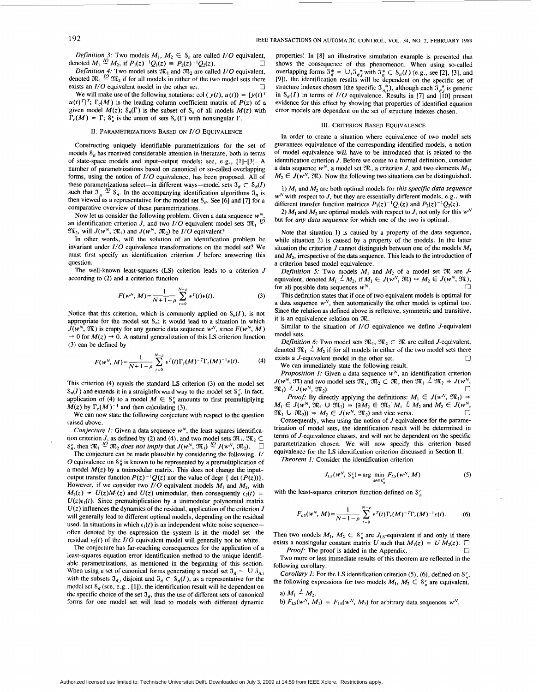*Definition 3:* Two models  $M_1, M_2 \in S_n$  are called *I/O* equivalent, noted  $M_1 \stackrel{\text{10}}{\sim} M_2$ , if  $P_1(z)^{-1}Q_1(z) = P_2(z)^{-1}Q_2(z)$ .  $\square$ <br>*Definition 4:* Two model sets  $\mathfrak{M}_1$  and  $\mathfrak{M}_2$  are called *I/O* equivalent, denoted  $M_1 \stackrel{lQ}{\sim} M_2$ , if  $P_1(z)^{-1}Q_1(z) = P_2(z)^{-1}Q_2(z)$ .

denoted  $\mathfrak{M}_1 \stackrel{IQ}{\sim} \mathfrak{M}_2$  if for all models in either of the two model sets there U exists an *I/O* equivalent model in the other set.

We will make use of the following notations: col  $(y(t), u(t)) = [y(t)]^T$  $u(t)$ <sup>T</sup>;  $\Gamma_c(M)$  is the leading column coefficient matrix of  $P(z)$  of a given model  $M(z)$ ;  $S_n(\Gamma)$  is the subset of  $S_n$  of all models  $M(z)$  with  $\Gamma_c(M) = \Gamma$ ;  $S_n^c$  is the union of sets  $S_n(\Gamma)$  with nonsingular  $\Gamma$ .

# **11.** PARAMETRIZATIONS BASED ON *I/o* EQUIVALENCE

Constructing uniquely identifiable parametrizations for the set of models  $S_n$  has received considerable attention in literature, both in terms of state-space models and input-output models; see, e.g., [I]-[3]. A number of parametrizations based on canonical or so-called overlapping forms, using the notion of *I/O* equivalence, has been proposed. **All** of these parametrizations select—in different ways—model sets  $\mathfrak{I}_n \subset \mathfrak{S}_n(I)$ such that  $\mathfrak{I}_n \stackrel{IO}{\sim} \mathfrak{S}_n$ . In the accompanying identification algorithms  $\mathfrak{I}_n$  is then viewed as a representative for the model set  $S_{\vec{n}}$ . See [6] and [7] for a comparative overview of these parametrizations.

Now let us consider the following problem. Given a data sequence  $w^N$ . an identification criterion *J*, and two  $I/O$  equivalent model sets  $\mathfrak{M}_1$  <sup>10</sup>  $\mathfrak{M}_2$ , will  $J(w^N, \mathfrak{M}_1)$  and  $J(w^N, \mathfrak{M}_2)$  be  $I/O$  equivalent?

In other words, will the solution of an identification problem be invariant under *I/O* equivalence transformations **on** the model set? We must first specify an identification criterion *J* before answering this question.

The well-known least-squares **(LS)** criterion leads to a criterion *J*  according to (2) and a criterion function

$$
F(w^N, M) = \frac{1}{N+1-\rho} \sum_{t=0}^{N-\rho} \epsilon^T(t) \epsilon(t).
$$
 (3)

Notice that this criterion, which is commonly applied on  $S_n(I)$ , is not appropriate for the model set  $S_n$ ; it would lead to a situation in which  $J(w^N, \mathfrak{M})$  is empty for any generic data sequence  $w^N$ , since  $F(w^N, M)$  $\rightarrow$  0 for  $M(z)$   $\rightarrow$  0. A natural generalization of this LS criterion function (3) can be defined by

$$
F(w^N, M) = \frac{1}{N+1-\rho} \sum_{t=0}^{N-\rho} \epsilon^T(t) \Gamma_c(M)^{-T} \Gamma_c(M)^{-1} \epsilon(t).
$$
 (4)

This criterion **(4)** equals the standard **LS** criterion **(3) on** the model set  $\mathcal{S}_n(I)$  and extends it in a straightforward way to the model set  $\mathcal{S}_n^c$ . In fact, application of (4) to a model  $M \in \mathcal{S}_n^c$  amounts to first premultiplying  $M(z)$  by  $\Gamma_c(M)^{-1}$  and then calculating (3).

We can now state the following conjecture with respect to the question raised above.

*Conjecture 1:* Given a data sequence  $w^N$ , the least-squares identification criterion *J*, as defined by (2) and (4), and two model sets  $\mathfrak{M}_1$ ,  $\mathfrak{M}_2 \subset$  $S_{n}^{c}$ , then  $\mathfrak{M}_{1} \stackrel{IQ}{\sim} \mathfrak{M}_{2}$  does not imply that  $J(w^{N}, \mathfrak{M}_{1}) \stackrel{IQ}{\sim} J(w^{N}, \mathfrak{M}_{2})$ .

The conjecture can be made plausible by considering the following. *I/*  O equivalence on  $S_f^c$  is known to be represented by a premultiplication of a model  $M(z)$  by a unimodular matrix. This does not change the inputoutput transfer function  $P(z)^{-1}Q(z)$  nor the value of degr { det  $(P(z))$ }. However, if we consider two  $I/O$  equivalent models  $M_1$  and  $M_2$ , with  $M_2(z) = U(z)M_1(z)$  and  $U(z)$  unimodular, then consequently  $\epsilon_2(t)$  =  $U(z)\epsilon_1(t)$ . Since premultiplication by a unimodular polynomial matrix  $U(z)$  influences the dynamics of the residual, application of the criterion *J* will generally lead to different optimal models, depending on the residual used. In situations in which  $\epsilon_1(t)$  is an independent white noise sequenceoften denoted by the expression the system is in the model set-the residual  $\epsilon_2(t)$  of the  $I/O$  equivalent model will generally not be white.

The conjecture has far-reaching consequences for the application of a least-squares equation error identification method to the unique identifi-East-squares equation error identification method to the unique identified<br>ble parametrizations, as mentioned in the beginning of this section.<br>When using a set of canonical forms generating a model set  $3<sub>n</sub> = 13$ . with the subsets  $\mathfrak{I}_{n,i}$  disjoint and  $\mathfrak{I}_n \subset \mathfrak{S}_n(I)$ , as a representative for the model set  $S_{n}$  (see, e.g., [1]), the identification result will be dependent on the specific choice of the set  $\mathfrak{I}_n$ , thus the use of different sets of canonical forms for one model set will lead to models with different dynamic

properties! **In** [8] an illustrative simulation example is presented that shows the consequence of this phenomenon. When using so-called overlapping forms  $\mathfrak{I}_{\vec{n}}^* = \bigcup_i \mathfrak{I}_{\vec{n},i}^*$  with  $\mathfrak{I}_{\vec{n}}^* \subset \mathcal{S}_{\vec{n}}(I)$  (e.g., see [2], [3], and [9]), the identification results will be dependent **on** the specific set of structure indexes chosen (the specific  $\mathfrak{I}_{n}^{*}$ ), although each  $\mathfrak{I}_{n}^{*}$  is generic in  $S_n(I)$  in terms of *I/O* equivalence. Results in [7] and  $\tilde{10}$ ] present evidence for this effect by showing that properties of identified equation error models are dependent on the set of structure indexes chosen.

## 111. CRITERION BASED EQUIVALENCE

In order to create a situation where equivalence of two model sets guarantees equivalence of the corresponding identified models, a notion of model equivalence will have to be introduced that is related to the identification criterion J. Before we come to a formal definition, consider identification criterion *J*. Before we come to a formal definition, consider a data sequence  $w^N$ , a model set  $\mathfrak{M}$ , a criterion *J*, and two elements  $M_1$ ,  $M_2 \in J(w^N, \mathfrak{M})$ . Now the following two situations can be distinguished.

1) *MI* and *M2* are both optimal models for *this specific data sequence*   $w<sup>N</sup>$  with respect to *J*, but they are essentially different models, e.g., with different transfer function matrices  $P_1(z)^{-1}Q_1(z)$  and  $P_2(z)^{-1}Q_2(z)$ .

2)  $M_1$  and  $M_2$  are optimal models with respect to J, not only for this  $w^N$ but for *any data sequence* for which one of the two is optimal.

Note that situation **1)** is caused by a property of the data sequence, while situation 2) is caused by a property of the models. **In** the latter situation the criterion  $J$  cannot distinguish between one of the models  $M_1$ and *M2,* irrespective of the data sequence. This leads to the introduction of a criterion based model equivalence.

*Definition 5:* Two models  $M_1$  and  $M_2$  of a model set  $M$  are  $J$ -Definition 5: Two models  $M_1$  and  $M_2$  of a model set  $\mathfrak{M}$  are *J*-<br>equivalent, denoted  $M_1 \stackrel{J}{\sim} M_2$ , if  $M_1 \in J(w^N, \mathfrak{M}) \leftrightarrow M_2 \in J(w^N, \mathfrak{M})$ , for all possible data sequences  $w^N$ .

This definition states that if one of two equivalent models is optimal for a data sequence  $w^N$ , then automatically the other model is optimal too. Since the relation as defined above is reflexive, symmetric and transitive, it is an equivalence relation on  $\mathfrak{M}.$ 

Similar to the situation of  $I/O$  equivalence we define  $J$ -equivalent model sets.

*Definition 6:* Two model sets  $\mathfrak{M}_1$ ,  $\mathfrak{M}_2 \subset \mathfrak{M}$  are called *J*-equivalent, denoted  $\mathfrak{M}_1 \stackrel{j}{\sim} M_2$  if for all models in either of the two model sets there *0*  exists a J-equivalent model in the other set.

We can immediately state the following result.

*Proposition 1:* Given a data sequence  $w^N$ , an identification criterion  $J(w^N, \mathfrak{M})$  and two model sets  $\mathfrak{M}_1, \mathfrak{M}_2 \subset \mathfrak{M}$ , then  $\mathfrak{M}_1 \stackrel{J}{\sim} \mathfrak{M}_2 \Rightarrow J(w^N, \mathfrak{M}_1) \stackrel{J}{\sim} J(w^N, \mathfrak{M}_2)$ .  $\mathfrak{M}_1$ )  $\stackrel{J}{\sim} J(w^N, \mathfrak{M}_2)$ .

*Proof:* By directly applying the definitions:  $M_1 \in J(w^N, \mathfrak{M}_1)$  $M_1 \in J(w^N, \mathfrak{M}_1 \cup \mathfrak{M}_2) \Rightarrow (\exists M_2 \in \mathfrak{M}_2 | M_1 \stackrel{J}{\sim} M_2 \text{ and } M_2 \in J(w^N,$  $\mathfrak{M}_1 \cup \mathfrak{M}_2$ ))  $\Rightarrow M_2 \in J(w^N, \mathfrak{M}_2)$  and vice versa.

Consequently, when using the notion of J-equivalence for the parametrization of model sets, the identification result will be determined in terms of J-equivalence classes, and will not be dependent on the specific parametrization chosen. We will now specify this criterion based equivalence for the **LS** identification criterion discussed in Section 11.

*Theorem 1:* Consider the identification criterion

$$
J_{LS}(w^N, S_n^c) = \arg\min_{M \in S_n^c} F_{LS}(w^N, M)
$$
 (5)

with the least-squares criterion function defined on  $S_n^c$ 

$$
F_{LS}(w^N, M) = \frac{1}{N+1-\rho} \sum_{t=0}^{N-\rho} \epsilon^T(t) \Gamma_c(M)^{-T} \Gamma_c(M)^{-1} \epsilon(t).
$$
 (6)

Then two models  $M_1$ ,  $M_2 \in \mathcal{S}_n^c$  are  $J_{LS}$ -equivalent if and only if there exists a nonsingular constant matrix U such that  $M_1(z) = U M_2(z)$ .  $\Box$ 

*0*  Two more or less immediate results of this theorem are reflected in the *Proof:* The proof **is** added in the Appendix.

following corollary. *Corollary 1:* For the LS identification criterion (5), (6), defined on  $S_n^c$ ,

the following expressions for two models  $M_1, M_2 \in \mathcal{S}_n^c$  are equivalent. a)  $M_1 \stackrel{J}{\sim} M_2$ .

b)  $F_{LS}(w^N, M_1) = F_{LS}(w^N, M_2)$  for arbitrary data sequences  $w^N$ .